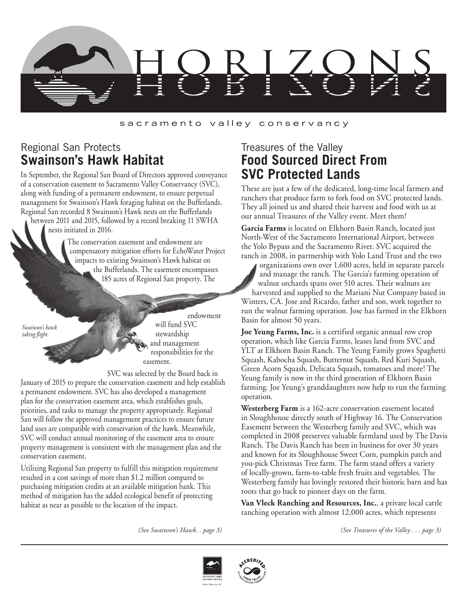

#### sacramento valley conservancy

#### Regional San Protects **Swainson's Hawk Habitat**

In September, the Regional San Board of Directors approved conveyance of a conservation easement to Sacramento Valley Conservancy (SVC), along with funding of a permanent endowment, to ensure perpetual management for Swainson's Hawk foraging habitat on the Bufferlands. Regional San recorded 8 Swainson's Hawk nests on the Bufferlands between 2011 and 2015, followed by a record breaking 11 SWHA

nests initiated in 2016.

The conservation easement and endowment are compensatory mitigation efforts for EchoWater Project impacts to existing Swainson's Hawk habitat on the Bufferlands. The easement encompasses 185 acres of Regional San property. The

*Swainson's hawk taking flight.*

endowment will fund SVC stewardship and management responsibilities for the easement.

SVC was selected by the Board back in January of 2015 to prepare the conservation easement and help establish a permanent endowment. SVC has also developed a management plan for the conservation easement area, which establishes goals, priorities, and tasks to manage the property appropriately. Regional San will follow the approved management practices to ensure future land uses are compatible with conservation of the hawk. Meanwhile, SVC will conduct annual monitoring of the easement area to ensure property management is consistent with the management plan and the conservation easement.

Utilizing Regional San property to fulfill this mitigation requirement resulted in a cost savings of more than \$1.2 million compared to purchasing mitigation credits at an available mitigation bank. This method of mitigation has the added ecological benefit of protecting habitat as near as possible to the location of the impact.

#### Treasures of the Valley **Food Sourced Direct From SVC Protected Lands**

These are just a few of the dedicated, long-time local farmers and ranchers that produce farm to fork food on SVC protected lands. They all joined us and shared their harvest and food with us at our annual Treasures of the Valley event. Meet them!

**Garcia Farms** is located on Elkhorn Basin Ranch, located just North-West of the Sacramento International Airport, between the Yolo Bypass and the Sacramento River. SVC acquired the ranch in 2008, in partnership with Yolo Land Trust and the two

organizations own over 1,600 acres, held in separate parcels and manage the ranch. The Garcia's farming operation of walnut orchards spans over 510 acres. Their walnuts are harvested and supplied to the Mariani Nut Company based in Winters, CA. Jose and Ricardo, father and son, work together to run the walnut farming operation. Jose has farmed in the Elkhorn Basin for almost 50 years.

**Joe Yeung Farms, Inc.** is a certified organic annual row crop operation, which like Garcia Farms, leases land from SVC and YLT at Elkhorn Basin Ranch. The Yeung Family grows Spaghetti Squash, Kabocha Squash, Butternut Squash, Red Kuri Squash, Green Acorn Squash, Delicata Squash, tomatoes and more! The Yeung family is now in the third generation of Elkhorn Basin farming. Joe Yeung's granddaughters now help to run the farming operation.

**Westerberg Farm** is a 162-acre conservation easement located in Sloughhouse directly south of Highway 16. The Conservation Easement between the Westerberg family and SVC, which was completed in 2008 preserves valuable farmland used by The Davis Ranch. The Davis Ranch has been in business for over 30 years and known for its Sloughhouse Sweet Corn, pumpkin patch and you-pick Christmas Tree farm. The farm stand offers a variety of locally-grown, farm-to-table fresh fruits and vegetables. The Westerberg family has lovingly restored their historic barn and has roots that go back to pioneer days on the farm.

**Van Vleck Ranching and Resources, Inc.**, a private local cattle ranching operation with almost 12,000 acres, which represents





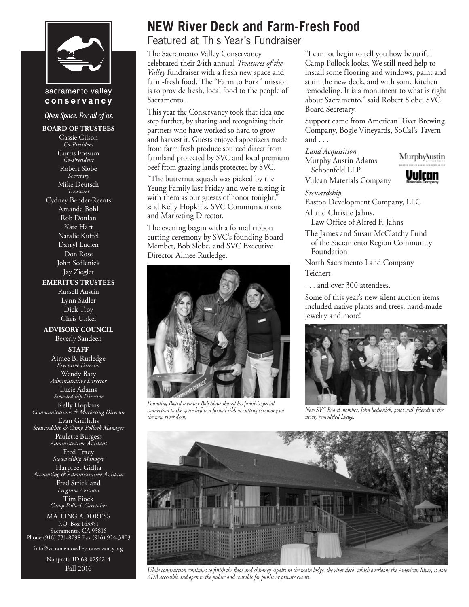

#### sacramento valley conservancy

Open Space. For all of us.

**BOARD OF TRUSTEES** Cassie Gilson *Co-President* Curtis Fossum *Co-President* Robert Slobe *Secretary* Mike Deutsch *Treasurer* Cydney Bender-Reents Amanda Bohl Rob Donlan Kate Hart Natalie Kuffel Darryl Lucien Don Rose John Sedleniek Jay Ziegler **EMERITUS TRUSTEES** Russell Austin Lynn Sadler Dick Troy Chris Unkel **ADVISORY COUNCIL** Beverly Sandeen **STAFF** Aimee B. Rutledge *Executive Director* Wendy Baty *Administrative Director* Lucie Adams *Stewardship Director* Kelly Hopkins *Communications & Marketing Director* Evan Griffiths *Stewardship & Camp Pollock Manager* Paulette Burgess *Administrative Assistant* Fred Tracy *Stewardship Manager* Harpreet Gidha *Accounting & Administrative Assistant* Fred Strickland *Program Assistant* Tim Fiock *Camp Pollock Caretaker* MAILING ADDRESS P.O. Box 163351

Sacramento, CA 95816 Phone (916) 731-8798 Fax (916) 924-3803 info@sacramentovalleyconservancy.org

> Nonprofit ID 68-0256214 Fall 2016

### **NEW River Deck and Farm-Fresh Food**

Featured at This Year's Fundraiser

The Sacramento Valley Conservancy celebrated their 24th annual *Treasures of the Valley* fundraiser with a fresh new space and farm-fresh food. The "Farm to Fork" mission is to provide fresh, local food to the people of Sacramento.

This year the Conservancy took that idea one step further, by sharing and recognizing their partners who have worked so hard to grow and harvest it. Guests enjoyed appetizers made from farm fresh produce sourced direct from farmland protected by SVC and local premium beef from grazing lands protected by SVC.

"The butternut squash was picked by the Yeung Family last Friday and we're tasting it with them as our guests of honor tonight," said Kelly Hopkins, SVC Communications and Marketing Director.

The evening began with a formal ribbon cutting ceremony by SVC's founding Board Member, Bob Slobe, and SVC Executive Director Aimee Rutledge.



*Founding Board member Bob Slobe shared his family's special connection to the space before a formal ribbon cutting ceremony on the new river deck.*

"I cannot begin to tell you how beautiful Camp Pollock looks. We still need help to install some flooring and windows, paint and stain the new deck, and with some kitchen remodeling. It is a monument to what is right about Sacramento," said Robert Slobe, SVC Board Secretary.

Support came from American River Brewing Company, Bogle Vineyards, SoCal's Tavern and . . .

*Land Acquisition* Murphy Austin Adams Schoenfeld LLP

Vulcan Materials Company

MurphyAustin

Vvican

*Stewardship*

Easton Development Company, LLC

Al and Christie Jahns.

Law Office of Alfred F. Jahns

The James and Susan McClatchy Fund of the Sacramento Region Community Foundation

North Sacramento Land Company Teichert

. . . and over 300 attendees.

Some of this year's new silent auction items included native plants and trees, hand-made jewelry and more!



*New SVC Board member, John Sedleniek, poses with friends in the newly remodeled Lodge.*



*While construction continues to finish the floor and chimney repairs in the main lodge, the river deck, which overlooks the American River, is now ADA accessible and open to the public and rentable for public or private events.*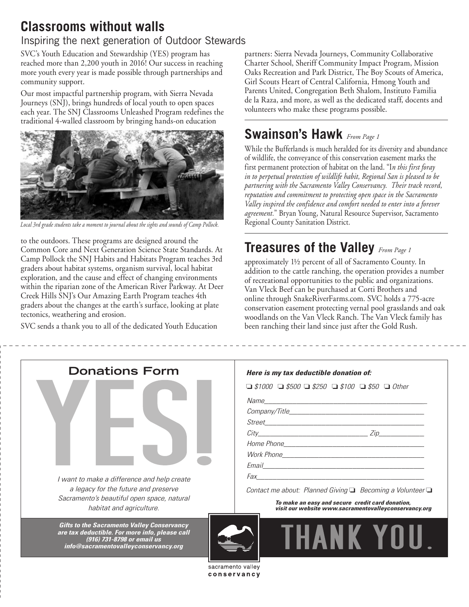## **Classrooms without walls**

### Inspiring the next generation of Outdoor Stewards

SVC's Youth Education and Stewardship (YES) program has reached more than 2,200 youth in 2016! Our success in reaching more youth every year is made possible through partnerships and community support.

Our most impactful partnership program, with Sierra Nevada Journeys (SNJ), brings hundreds of local youth to open spaces each year. The SNJ Classrooms Unleashed Program redefines the traditional 4-walled classroom by bringing hands-on education



Regional County Sanitation District. *Local 3rd grade students take a moment to journal about the sights and sounds of Camp Pollock.*

to the outdoors. These programs are designed around the Common Core and Next Generation Science State Standards. At Camp Pollock the SNJ Habits and Habitats Program teaches 3rd graders about habitat systems, organism survival, local habitat exploration, and the cause and effect of changing environments within the riparian zone of the American River Parkway. At Deer Creek Hills SNJ's Our Amazing Earth Program teaches 4th graders about the changes at the earth's surface, looking at plate tectonics, weathering and erosion.

SVC sends a thank you to all of the dedicated Youth Education

partners: Sierra Nevada Journeys, Community Collaborative Charter School, Sheriff Community Impact Program, Mission Oaks Recreation and Park District, The Boy Scouts of America, Girl Scouts Heart of Central California, Hmong Youth and Parents United, Congregation Beth Shalom, Instituto Familia de la Raza, and more, as well as the dedicated staff, docents and volunteers who make these programs possible.

# **Swainson's Hawk** *From Page 1*

While the Bufferlands is much heralded for its diversity and abundance of wildlife, the conveyance of this conservation easement marks the first permanent protection of habitat on the land. "I*n this first foray in to perpetual protection of wildlife habit, Regional San is pleased to be partnering with the Sacramento Valley Conservancy. Their track record, reputation and commitment to protecting open space in the Sacramento Valley inspired the confidence and comfort needed to enter into a forever agreement.*" Bryan Young, Natural Resource Supervisor, Sacramento

# **Treasures of the Valley** *From Page 1*

approximately 1½ percent of all of Sacramento County. In addition to the cattle ranching, the operation provides a number of recreational opportunities to the public and organizations. Van Vleck Beef can be purchased at Corti Brothers and online through SnakeRiverFarms.com. SVC holds a 775-acre conservation easement protecting vernal pool grasslands and oak woodlands on the Van Vleck Ranch. The Van Vleck family has been ranching their land since just after the Gold Rush.

| <b>Donations Form</b>                                                                                                                                                     | Here is my tax deductible donation of:                                                                    |  |  |  |
|---------------------------------------------------------------------------------------------------------------------------------------------------------------------------|-----------------------------------------------------------------------------------------------------------|--|--|--|
|                                                                                                                                                                           | $\Box$ \$1000 $\Box$ \$500 $\Box$ \$250 $\Box$ \$100 $\Box$ \$50 $\Box$ Other                             |  |  |  |
|                                                                                                                                                                           |                                                                                                           |  |  |  |
|                                                                                                                                                                           |                                                                                                           |  |  |  |
|                                                                                                                                                                           |                                                                                                           |  |  |  |
|                                                                                                                                                                           | $City$ $Zip$                                                                                              |  |  |  |
|                                                                                                                                                                           |                                                                                                           |  |  |  |
|                                                                                                                                                                           |                                                                                                           |  |  |  |
|                                                                                                                                                                           |                                                                                                           |  |  |  |
| I want to make a difference and help create                                                                                                                               |                                                                                                           |  |  |  |
| a legacy for the future and preserve                                                                                                                                      | Contact me about: Planned Giving $\Box$ Becoming a Volunteer $\Box$                                       |  |  |  |
| Sacramento's beautiful open space, natural<br>habitat and agriculture.                                                                                                    | To make an easy and secure credit card donation,<br>visit our website www.sacramentovalleyconservancy.org |  |  |  |
| <b>Gifts to the Sacramento Valley Conservancy</b><br>are tax deductible. For more info, please call<br>(916) 731-8798 or email us<br>info@sacramentovalleyconservancy.org | <b>THANK YOU</b>                                                                                          |  |  |  |
|                                                                                                                                                                           | sacramento valley                                                                                         |  |  |  |
|                                                                                                                                                                           | conservancy                                                                                               |  |  |  |